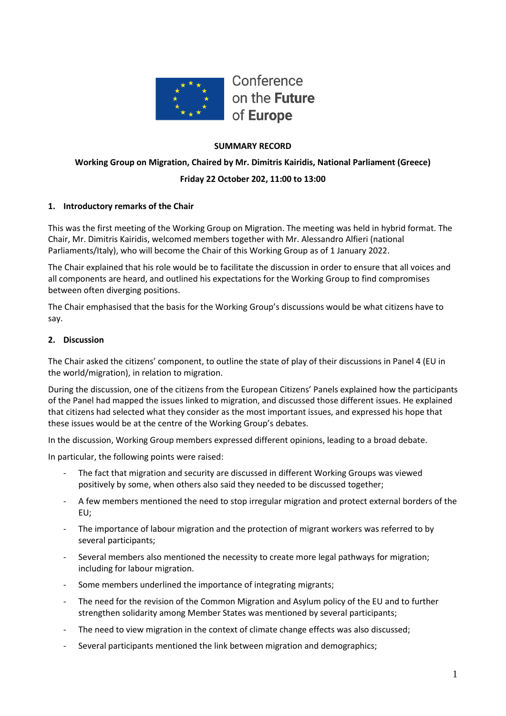

## **SUMMARY RECORD**

# **Working Group on Migration, Chaired by Mr. Dimitris Kairidis, National Parliament (Greece) Friday 22 October 202, 11:00 to 13:00**

## **1. Introductory remarks of the Chair**

This was the first meeting of the Working Group on Migration. The meeting was held in hybrid format. The Chair, Mr. Dimitris Kairidis, welcomed members together with Mr. Alessandro Alfieri (national Parliaments/Italy), who will become the Chair of this Working Group as of 1 January 2022.

The Chair explained that his role would be to facilitate the discussion in order to ensure that all voices and all components are heard, and outlined his expectations for the Working Group to find compromises between often diverging positions.

The Chair emphasised that the basis for the Working Group's discussions would be what citizens have to say.

#### **2. Discussion**

The Chair asked the citizens' component, to outline the state of play of their discussions in Panel 4 (EU in the world/migration), in relation to migration.

During the discussion, one of the citizens from the European Citizens' Panels explained how the participants of the Panel had mapped the issues linked to migration, and discussed those different issues. He explained that citizens had selected what they consider as the most important issues, and expressed his hope that these issues would be at the centre of the Working Group's debates.

In the discussion, Working Group members expressed different opinions, leading to a broad debate.

In particular, the following points were raised:

- The fact that migration and security are discussed in different Working Groups was viewed positively by some, when others also said they needed to be discussed together;
- A few members mentioned the need to stop irregular migration and protect external borders of the EU;
- The importance of labour migration and the protection of migrant workers was referred to by several participants;
- Several members also mentioned the necessity to create more legal pathways for migration; including for labour migration.
- Some members underlined the importance of integrating migrants;
- The need for the revision of the Common Migration and Asylum policy of the EU and to further strengthen solidarity among Member States was mentioned by several participants;
- The need to view migration in the context of climate change effects was also discussed;
- Several participants mentioned the link between migration and demographics;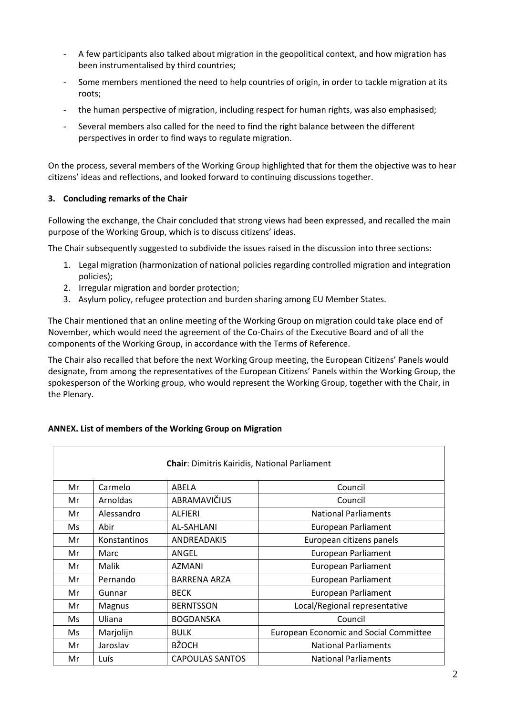- A few participants also talked about migration in the geopolitical context, and how migration has been instrumentalised by third countries;
- Some members mentioned the need to help countries of origin, in order to tackle migration at its roots;
- the human perspective of migration, including respect for human rights, was also emphasised;
- Several members also called for the need to find the right balance between the different perspectives in order to find ways to regulate migration.

On the process, several members of the Working Group highlighted that for them the objective was to hear citizens' ideas and reflections, and looked forward to continuing discussions together.

## **3. Concluding remarks of the Chair**

Following the exchange, the Chair concluded that strong views had been expressed, and recalled the main purpose of the Working Group, which is to discuss citizens' ideas.

The Chair subsequently suggested to subdivide the issues raised in the discussion into three sections:

- 1. Legal migration (harmonization of national policies regarding controlled migration and integration policies);
- 2. Irregular migration and border protection;
- 3. Asylum policy, refugee protection and burden sharing among EU Member States.

The Chair mentioned that an online meeting of the Working Group on migration could take place end of November, which would need the agreement of the Co-Chairs of the Executive Board and of all the components of the Working Group, in accordance with the Terms of Reference.

The Chair also recalled that before the next Working Group meeting, the European Citizens' Panels would designate, from among the representatives of the European Citizens' Panels within the Working Group, the spokesperson of the Working group, who would represent the Working Group, together with the Chair, in the Plenary.

## **ANNEX. List of members of the Working Group on Migration**

| <b>Chair:</b> Dimitris Kairidis, National Parliament |              |                        |                                               |  |  |
|------------------------------------------------------|--------------|------------------------|-----------------------------------------------|--|--|
| Mr                                                   | Carmelo      | ABELA                  | Council                                       |  |  |
| Mr                                                   | Arnoldas     | ABRAMAVIČIUS           | Council                                       |  |  |
| Mr                                                   | Alessandro   | <b>ALFIERI</b>         | <b>National Parliaments</b>                   |  |  |
| Ms                                                   | Abir         | AL-SAHLANI             | European Parliament                           |  |  |
| Mr                                                   | Konstantinos | <b>ANDREADAKIS</b>     | European citizens panels                      |  |  |
| Mr                                                   | Marc         | ANGEL                  | European Parliament                           |  |  |
| Mr                                                   | Malik        | AZMANI                 | European Parliament                           |  |  |
| Mr                                                   | Pernando     | <b>BARRENA ARZA</b>    | European Parliament                           |  |  |
| Mr                                                   | Gunnar       | <b>BECK</b>            | European Parliament                           |  |  |
| Mr                                                   | Magnus       | <b>BERNTSSON</b>       | Local/Regional representative                 |  |  |
| Ms                                                   | Uliana       | <b>BOGDANSKA</b>       | Council                                       |  |  |
| Ms                                                   | Marjolijn    | <b>BULK</b>            | <b>European Economic and Social Committee</b> |  |  |
| Mr                                                   | Jaroslav     | <b>BŽOCH</b>           | <b>National Parliaments</b>                   |  |  |
| Mr                                                   | Luís         | <b>CAPOULAS SANTOS</b> | <b>National Parliaments</b>                   |  |  |